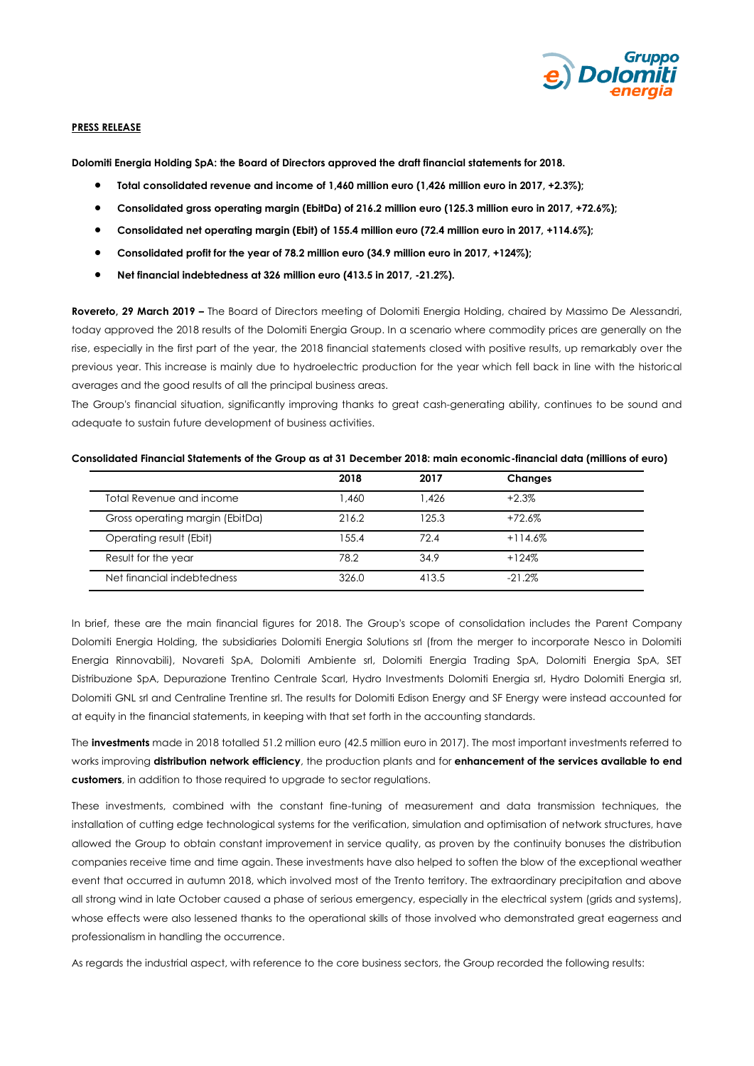

### **PRESS RELEASE**

**Dolomiti Energia Holding SpA: the Board of Directors approved the draft financial statements for 2018.**

- **Total consolidated revenue and income of 1,460 million euro (1,426 million euro in 2017, +2.3%);**
- **Consolidated gross operating margin (EbitDa) of 216.2 million euro (125.3 million euro in 2017, +72.6%);**
- **Consolidated net operating margin (Ebit) of 155.4 million euro (72.4 million euro in 2017, +114.6%);**
- **Consolidated profit for the year of 78.2 million euro (34.9 million euro in 2017, +124%);**
- **Net financial indebtedness at 326 million euro (413.5 in 2017, -21.2%).**

**Rovereto, 29 March 2019 –** The Board of Directors meeting of Dolomiti Energia Holding, chaired by Massimo De Alessandri, today approved the 2018 results of the Dolomiti Energia Group. In a scenario where commodity prices are generally on the rise, especially in the first part of the year, the 2018 financial statements closed with positive results, up remarkably over the previous year. This increase is mainly due to hydroelectric production for the year which fell back in line with the historical averages and the good results of all the principal business areas.

The Group's financial situation, significantly improving thanks to great cash-generating ability, continues to be sound and adequate to sustain future development of business activities.

#### **Consolidated Financial Statements of the Group as at 31 December 2018: main economic-financial data (millions of euro)**

|                                 | 2018  | 2017  | <b>Changes</b> |  |
|---------------------------------|-------|-------|----------------|--|
| Total Revenue and income        | 1.460 | 1.426 | $+2.3%$        |  |
| Gross operating margin (EbitDa) | 216.2 | 125.3 | $+72.6%$       |  |
| Operating result (Ebit)         | 155.4 | 72.4  | $+114.6%$      |  |
| Result for the year             | 78.2  | 34.9  | $+124%$        |  |
| Net financial indebtedness      | 326.0 | 413.5 | $-21.2\%$      |  |

In brief, these are the main financial figures for 2018. The Group's scope of consolidation includes the Parent Company Dolomiti Energia Holding, the subsidiaries Dolomiti Energia Solutions srl (from the merger to incorporate Nesco in Dolomiti Energia Rinnovabili), Novareti SpA, Dolomiti Ambiente srl, Dolomiti Energia Trading SpA, Dolomiti Energia SpA, SET Distribuzione SpA, Depurazione Trentino Centrale Scarl, Hydro Investments Dolomiti Energia srl, Hydro Dolomiti Energia srl, Dolomiti GNL srl and Centraline Trentine srl. The results for Dolomiti Edison Energy and SF Energy were instead accounted for at equity in the financial statements, in keeping with that set forth in the accounting standards.

The **investments** made in 2018 totalled 51.2 million euro (42.5 million euro in 2017). The most important investments referred to works improving **distribution network efficiency**, the production plants and for **enhancement of the services available to end customers**, in addition to those required to upgrade to sector regulations.

These investments, combined with the constant fine-tuning of measurement and data transmission techniques, the installation of cutting edge technological systems for the verification, simulation and optimisation of network structures, have allowed the Group to obtain constant improvement in service quality, as proven by the continuity bonuses the distribution companies receive time and time again. These investments have also helped to soften the blow of the exceptional weather event that occurred in autumn 2018, which involved most of the Trento territory. The extraordinary precipitation and above all strong wind in late October caused a phase of serious emergency, especially in the electrical system (grids and systems), whose effects were also lessened thanks to the operational skills of those involved who demonstrated great eagerness and professionalism in handling the occurrence.

As regards the industrial aspect, with reference to the core business sectors, the Group recorded the following results: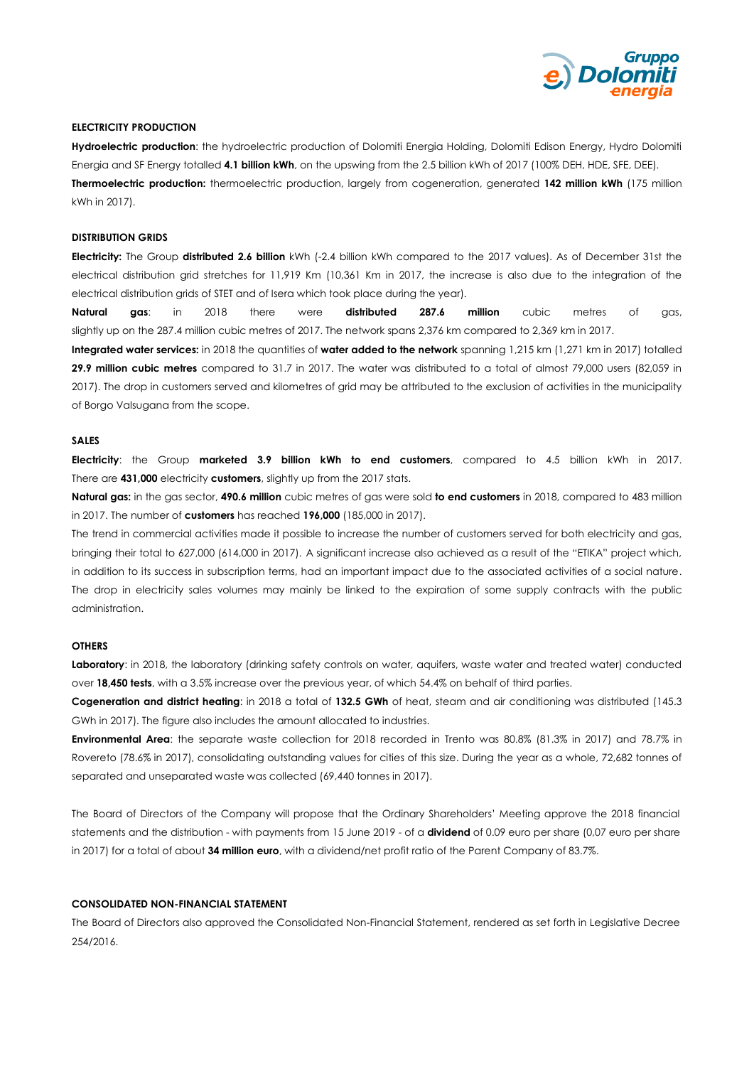

### **ELECTRICITY PRODUCTION**

**Hydroelectric production**: the hydroelectric production of Dolomiti Energia Holding, Dolomiti Edison Energy, Hydro Dolomiti Energia and SF Energy totalled **4.1 billion kWh**, on the upswing from the 2.5 billion kWh of 2017 (100% DEH, HDE, SFE, DEE). **Thermoelectric production:** thermoelectric production, largely from cogeneration, generated **142 million kWh** (175 million kWh in 2017).

#### **DISTRIBUTION GRIDS**

**Electricity:** The Group **distributed 2.6 billion** kWh (-2.4 billion kWh compared to the 2017 values). As of December 31st the electrical distribution grid stretches for 11,919 Km (10,361 Km in 2017, the increase is also due to the integration of the electrical distribution grids of STET and of Isera which took place during the year).

**Natural gas**: in 2018 there were **distributed 287.6 million** cubic metres of gas, slightly up on the 287.4 million cubic metres of 2017. The network spans 2,376 km compared to 2,369 km in 2017.

**Integrated water services:** in 2018 the quantities of **water added to the network** spanning 1,215 km (1,271 km in 2017) totalled **29.9 million cubic metres** compared to 31.7 in 2017. The water was distributed to a total of almost 79,000 users (82,059 in 2017). The drop in customers served and kilometres of grid may be attributed to the exclusion of activities in the municipality of Borgo Valsugana from the scope.

## **SALES**

**Electricity**: the Group **marketed 3.9 billion kWh to end customers**, compared to 4.5 billion kWh in 2017. There are **431,000** electricity **customers**, slightly up from the 2017 stats.

**Natural gas:** in the gas sector, **490.6 million** cubic metres of gas were sold **to end customers** in 2018, compared to 483 million in 2017. The number of **customers** has reached **196,000** (185,000 in 2017).

The trend in commercial activities made it possible to increase the number of customers served for both electricity and gas, bringing their total to 627,000 (614,000 in 2017). A significant increase also achieved as a result of the "ETIKA" project which, in addition to its success in subscription terms, had an important impact due to the associated activities of a social nature. The drop in electricity sales volumes may mainly be linked to the expiration of some supply contracts with the public administration.

### **OTHERS**

**Laboratory**: in 2018, the laboratory (drinking safety controls on water, aquifers, waste water and treated water) conducted over **18,450 tests**, with a 3.5% increase over the previous year, of which 54.4% on behalf of third parties.

**Cogeneration and district heating**: in 2018 a total of **132.5 GWh** of heat, steam and air conditioning was distributed (145.3 GWh in 2017). The figure also includes the amount allocated to industries.

**Environmental Area**: the separate waste collection for 2018 recorded in Trento was 80.8% (81.3% in 2017) and 78.7% in Rovereto (78.6% in 2017), consolidating outstanding values for cities of this size. During the year as a whole, 72,682 tonnes of separated and unseparated waste was collected (69,440 tonnes in 2017).

The Board of Directors of the Company will propose that the Ordinary Shareholders' Meeting approve the 2018 financial statements and the distribution - with payments from 15 June 2019 - of a **dividend** of 0.09 euro per share (0,07 euro per share in 2017) for a total of about **34 million euro**, with a dividend/net profit ratio of the Parent Company of 83.7%.

### **CONSOLIDATED NON-FINANCIAL STATEMENT**

The Board of Directors also approved the Consolidated Non-Financial Statement, rendered as set forth in Legislative Decree 254/2016.